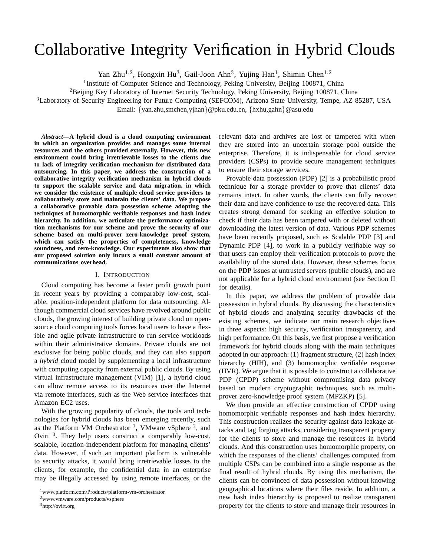# Collaborative Integrity Verification in Hybrid Clouds

Yan Zhu<sup>1,2</sup>, Hongxin Hu<sup>3</sup>, Gail-Joon Ahn<sup>3</sup>, Yujing Han<sup>1</sup>, Shimin Chen<sup>1,2</sup>

<sup>1</sup>Institute of Computer Science and Technology, Peking University, Beijing 100871, China

<sup>2</sup>Beijing Key Laboratory of Internet Security Technology, Peking University, Beijing 100871, China

<sup>3</sup>Laboratory of Security Engineering for Future Computing (SEFCOM), Arizona State University, Tempe, AZ 85287, USA

Email: {yan.zhu,smchen,yjhan}@pku.edu.cn, {hxhu,gahn}@asu.edu

*Abstract***—A hybrid cloud is a cloud computing environment in which an organization provides and manages some internal resources and the others provided externally. However, this new environment could bring irretrievable losses to the clients due to lack of integrity verification mechanism for distributed data outsourcing. In this paper, we address the construction of a collaborative integrity verification mechanism in hybrid clouds to support the scalable service and data migration, in which we consider the existence of multiple cloud service providers to collaboratively store and maintain the clients' data. We propose a collaborative provable data possession scheme adopting the techniques of homomorphic verifiable responses and hash index hierarchy. In addition, we articulate the performance optimization mechanisms for our scheme and prove the security of our scheme based on multi-prover zero-knowledge proof system, which can satisfy the properties of completeness, knowledge soundness, and zero-knowledge. Our experiments also show that our proposed solution only incurs a small constant amount of communications overhead.**

## I. INTRODUCTION

Cloud computing has become a faster profit growth point in recent years by providing a comparably low-cost, scalable, position-independent platform for data outsourcing. Although commercial cloud services have revolved around public clouds, the growing interest of building private cloud on opensource cloud computing tools forces local users to have a flexible and agile private infrastructure to run service workloads within their administrative domains. Private clouds are not exclusive for being public clouds, and they can also support a *hybrid* cloud model by supplementing a local infrastructure with computing capacity from external public clouds. By using virtual infrastructure management (VIM) [1], a hybrid cloud can allow remote access to its resources over the Internet via remote interfaces, such as the Web service interfaces that Amazon EC2 uses.

With the growing popularity of clouds, the tools and technologies for hybrid clouds has been emerging recently, such as the Platform VM Orchestrator  $1$ , VMware vSphere  $2$ , and Ovirt  $3$ . They help users construct a comparably low-cost, scalable, location-independent platform for managing clients' data. However, if such an important platform is vulnerable to security attacks, it would bring irretrievable losses to the clients, for example, the confidential data in an enterprise may be illegally accessed by using remote interfaces, or the relevant data and archives are lost or tampered with when they are stored into an uncertain storage pool outside the enterprise. Therefore, it is indispensable for cloud service providers (CSPs) to provide secure management techniques to ensure their storage services.

Provable data possession (PDP) [2] is a probabilistic proof technique for a storage provider to prove that clients' data remains intact. In other words, the clients can fully recover their data and have confidence to use the recovered data. This creates strong demand for seeking an effective solution to check if their data has been tampered with or deleted without downloading the latest version of data. Various PDP schemes have been recently proposed, such as Scalable PDP [3] and Dynamic PDP [4], to work in a publicly verifiable way so that users can employ their verification protocols to prove the availability of the stored data. However, these schemes focus on the PDP issues at untrusted servers (public clouds), and are not applicable for a hybrid cloud environment (see Section II for details).

In this paper, we address the problem of provable data possession in hybrid clouds. By discussing the characteristics of hybrid clouds and analyzing security drawbacks of the existing schemes, we indicate our main research objectives in three aspects: high security, verification transparency, and high performance. On this basis, we first propose a verification framework for hybrid clouds along with the main techniques adopted in our approach: (1) fragment structure, (2) hash index hierarchy (HIH), and (3) homomorphic verifiable response (HVR). We argue that it is possible to construct a collaborative PDP (CPDP) scheme without compromising data privacy based on modern cryptographic techniques, such as multiprover zero-knowledge proof system (MPZKP) [5].

We then provide an effective construction of CPDP using homomorphic verifiable responses and hash index hierarchy. This construction realizes the security against data leakage attacks and tag forging attacks, considering transparent property for the clients to store and manage the resources in hybrid clouds. And this construction uses homomorphic property, on which the responses of the clients' challenges computed from multiple CSPs can be combined into a single response as the final result of hybrid clouds. By using this mechanism, the clients can be convinced of data possession without knowing geographical locations where their files reside. In addition, a new hash index hierarchy is proposed to realize transparent property for the clients to store and manage their resources in

<sup>1</sup>www.platform.com/Products/platform-vm-orchestrator

<sup>2</sup>www.vmware.com/products/vsphere

<sup>3</sup>http://ovirt.org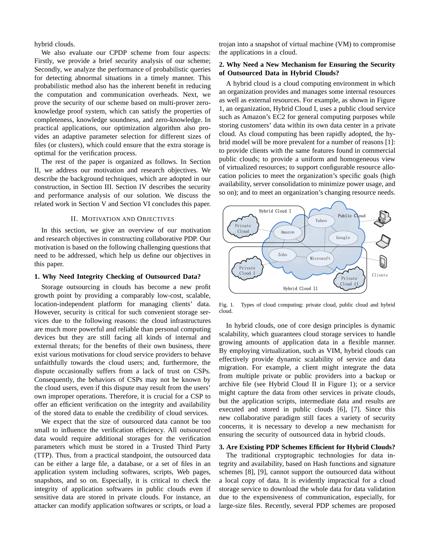hybrid clouds.

We also evaluate our CPDP scheme from four aspects: Firstly, we provide a brief security analysis of our scheme; Secondly, we analyze the performance of probabilistic queries for detecting abnormal situations in a timely manner. This probabilistic method also has the inherent benefit in reducing the computation and communication overheads. Next, we prove the security of our scheme based on multi-prover zeroknowledge proof system, which can satisfy the properties of completeness, knowledge soundness, and zero-knowledge. In practical applications, our optimization algorithm also provides an adaptive parameter selection for different sizes of files (or clusters), which could ensure that the extra storage is optimal for the verification process.

The rest of the paper is organized as follows. In Section II, we address our motivation and research objectives. We describe the background techniques, which are adopted in our construction, in Section III. Section IV describes the security and performance analysis of our solution. We discuss the related work in Section V and Section VI concludes this paper.

#### II. MOTIVATION AND OBJECTIVES

In this section, we give an overview of our motivation and research objectives in constructing collaborative PDP. Our motivation is based on the following challenging questions that need to be addressed, which help us define our objectives in this paper.

#### **1. Why Need Integrity Checking of Outsourced Data?**

Storage outsourcing in clouds has become a new profit growth point by providing a comparably low-cost, scalable, location-independent platform for managing clients' data. However, security is critical for such convenient storage services due to the following reasons: the cloud infrastructures are much more powerful and reliable than personal computing devices but they are still facing all kinds of internal and external threats; for the benefits of their own business, there exist various motivations for cloud service providers to behave unfaithfully towards the cloud users; and, furthermore, the dispute occasionally suffers from a lack of trust on CSPs. Consequently, the behaviors of CSPs may not be known by the cloud users, even if this dispute may result from the users' own improper operations. Therefore, it is crucial for a CSP to offer an efficient verification on the integrity and availability of the stored data to enable the credibility of cloud services.

We expect that the size of outsourced data cannot be too small to influence the verification efficiency. All outsourced data would require additional storages for the verification parameters which must be stored in a Trusted Third Party (TTP). Thus, from a practical standpoint, the outsourced data can be either a large file, a database, or a set of files in an application system including softwares, scripts, Web pages, snapshots, and so on. Especially, it is critical to check the integrity of application softwares in public clouds even if sensitive data are stored in private clouds. For instance, an attacker can modify application softwares or scripts, or load a trojan into a snapshot of virtual machine (VM) to compromise the applications in a cloud.

# **2. Why Need a New Mechanism for Ensuring the Security of Outsourced Data in Hybrid Clouds?**

A hybrid cloud is a cloud computing environment in which an organization provides and manages some internal resources as well as external resources. For example, as shown in Figure 1, an organization, Hybrid Cloud I, uses a public cloud service such as Amazon's EC2 for general computing purposes while storing customers' data within its own data center in a private cloud. As cloud computing has been rapidly adopted, the hybrid model will be more prevalent for a number of reasons [1]: to provide clients with the same features found in commercial public clouds; to provide a uniform and homogeneous view of virtualized resources; to support configurable resource allocation policies to meet the organization's specific goals (high availability, server consolidation to minimize power usage, and so on); and to meet an organization's changing resource needs.



Fig. 1. Types of cloud computing: private cloud, public cloud and hybrid cloud.

In hybrid clouds, one of core design principles is dynamic scalability, which guarantees cloud storage services to handle growing amounts of application data in a flexible manner. By employing virtualization, such as VIM, hybrid clouds can effectively provide dynamic scalability of service and data migration. For example, a client might integrate the data from multiple private or public providers into a backup or archive file (see Hybrid Cloud II in Figure 1); or a service might capture the data from other services in private clouds, but the application scripts, intermediate data and results are executed and stored in public clouds [6], [7]. Since this new collaborative paradigm still faces a variety of security concerns, it is necessary to develop a new mechanism for ensuring the security of outsourced data in hybrid clouds.

# **3. Are Existing PDP Schemes Efficient for Hybrid Clouds?**

The traditional cryptographic technologies for data integrity and availability, based on Hash functions and signature schemes [8], [9], cannot support the outsourced data without a local copy of data. It is evidently impractical for a cloud storage service to download the whole data for data validation due to the expensiveness of communication, especially, for large-size files. Recently, several PDP schemes are proposed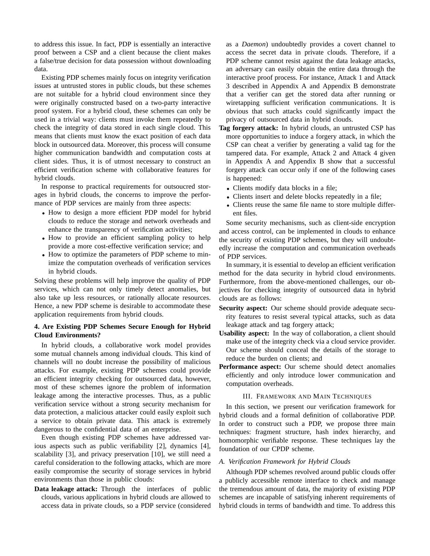to address this issue. In fact, PDP is essentially an interactive proof between a CSP and a client because the client makes a false/true decision for data possession without downloading data.

Existing PDP schemes mainly focus on integrity verification issues at untrusted stores in public clouds, but these schemes are not suitable for a hybrid cloud environment since they were originally constructed based on a two-party interactive proof system. For a hybrid cloud, these schemes can only be used in a trivial way: clients must invoke them repeatedly to check the integrity of data stored in each single cloud. This means that clients must know the exact position of each data block in outsourced data. Moreover, this process will consume higher communication bandwidth and computation costs at client sides. Thus, it is of utmost necessary to construct an efficient verification scheme with collaborative features for hybrid clouds.

In response to practical requirements for outsoucred storages in hybrid clouds, the concerns to improve the performance of PDP services are mainly from three aspects:

- How to design a more efficient PDP model for hybrid clouds to reduce the storage and network overheads and enhance the transparency of verification activities;
- How to provide an efficient sampling policy to help provide a more cost-effective verification service; and
- How to optimize the parameters of PDP scheme to minimize the computation overheads of verification services in hybrid clouds.

Solving these problems will help improve the quality of PDP services, which can not only timely detect anomalies, but also take up less resources, or rationally allocate resources. Hence, a new PDP scheme is desirable to accommodate these application requirements from hybrid clouds.

# **4. Are Existing PDP Schemes Secure Enough for Hybrid Cloud Environments?**

In hybrid clouds, a collaborative work model provides some mutual channels among individual clouds. This kind of channels will no doubt increase the possibility of malicious attacks. For example, existing PDP schemes could provide an efficient integrity checking for outsourced data, however, most of these schemes ignore the problem of information leakage among the interactive processes. Thus, as a public verification service without a strong security mechanism for data protection, a malicious attacker could easily exploit such a service to obtain private data. This attack is extremely dangerous to the confidential data of an enterprise.

Even though existing PDP schemes have addressed various aspects such as public verifiability [2], dynamics [4], scalability [3], and privacy preservation [10], we still need a careful consideration to the following attacks, which are more easily compromise the security of storage services in hybrid environments than those in public clouds:

**Data leakage attack:** Through the interfaces of public clouds, various applications in hybrid clouds are allowed to access data in private clouds, so a PDP service (considered as a *Daemon*) undoubtedly provides a covert channel to access the secret data in private clouds. Therefore, if a PDP scheme cannot resist against the data leakage attacks, an adversary can easily obtain the entire data through the interactive proof process. For instance, Attack 1 and Attack 3 described in Appendix A and Appendix B demonstrate that a verifier can get the stored data after running or wiretapping sufficient verification communications. It is obvious that such attacks could significantly impact the privacy of outsourced data in hybrid clouds.

- **Tag forgery attack:** In hybrid clouds, an untrusted CSP has more opportunities to induce a forgery attack, in which the CSP can cheat a verifier by generating a valid tag for the tampered data. For example, Attack 2 and Attack 4 given in Appendix A and Appendix B show that a successful forgery attack can occur only if one of the following cases is happened:
	- Clients modify data blocks in a file;
	- Clients insert and delete blocks repeatedly in a file;
	- Clients reuse the same file name to store multiple different files.

Some security mechanisms, such as client-side encryption and access control, can be implemented in clouds to enhance the security of existing PDP schemes, but they will undoubtedly increase the computation and communication overheads of PDP services.

In summary, it is essential to develop an efficient verification method for the data security in hybrid cloud environments. Furthermore, from the above-mentioned challenges, our objectives for checking integrity of outsourced data in hybrid clouds are as follows:

- **Security aspect:** Our scheme should provide adequate security features to resist several typical attacks, such as data leakage attack and tag forgery attack;
- **Usability aspect:** In the way of collaboration, a client should make use of the integrity check via a cloud service provider. Our scheme should conceal the details of the storage to reduce the burden on clients; and
- **Performance aspect:** Our scheme should detect anomalies efficiently and only introduce lower communication and computation overheads.

## III. FRAMEWORK AND MAIN TECHNIQUES

In this section, we present our verification framework for hybrid clouds and a formal definition of collaborative PDP. In order to construct such a PDP, we propose three main techniques: fragment structure, hash index hierarchy, and homomorphic verifiable response. These techniques lay the foundation of our CPDP scheme.

## *A. Verification Framework for Hybrid Clouds*

Although PDP schemes revolved around public clouds offer a publicly accessible remote interface to check and manage the tremendous amount of data, the majority of existing PDP schemes are incapable of satisfying inherent requirements of hybrid clouds in terms of bandwidth and time. To address this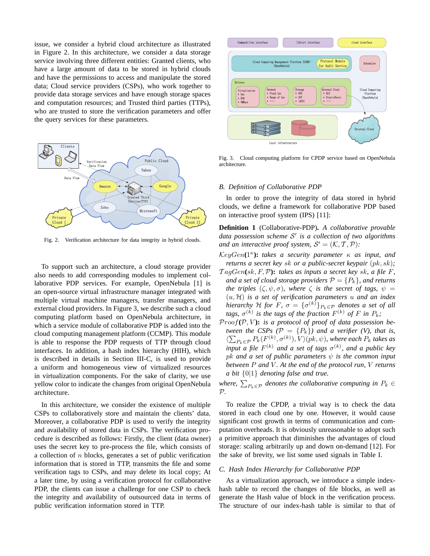issue, we consider a hybrid cloud architecture as illustrated in Figure 2. In this architecture, we consider a data storage service involving three different entities: Granted clients, who have a large amount of data to be stored in hybrid clouds and have the permissions to access and manipulate the stored data; Cloud service providers (CSPs), who work together to provide data storage services and have enough storage spaces and computation resources; and Trusted third parties (TTPs), who are trusted to store the verification parameters and offer the query services for these parameters.



Fig. 2. Verification architecture for data integrity in hybrid clouds.

To support such an architecture, a cloud storage provider also needs to add corresponding modules to implement collaborative PDP services. For example, OpenNebula [1] is an open-source virtual infrastructure manager integrated with multiple virtual machine managers, transfer managers, and external cloud providers. In Figure 3, we describe such a cloud computing platform based on OpenNebula architecture, in which a service module of collaborative PDP is added into the cloud computing management platform (CCMP). This module is able to response the PDP requests of TTP through cloud interfaces. In addition, a hash index hierarchy (HIH), which is described in details in Section III-C, is used to provide a uniform and homogeneous view of virtualized resources in virtualization components. For the sake of clarity, we use yellow color to indicate the changes from original OpenNebula architecture.

In this architecture, we consider the existence of multiple CSPs to collaboratively store and maintain the clients' data. Moreover, a collaborative PDP is used to verify the integrity and availability of stored data in CSPs. The verification procedure is described as follows: Firstly, the client (data owner) uses the secret key to pre-process the file, which consists of a collection of  $n$  blocks, generates a set of public verification information that is stored in TTP, transmits the file and some verification tags to CSPs, and may delete its local copy; At a later time, by using a verification protocol for collaborative PDP, the clients can issue a challenge for one CSP to check the integrity and availability of outsourced data in terms of public verification information stored in TTP.



Fig. 3. Cloud computing platform for CPDP service based on OpenNebula architecture.

#### *B. Definition of Collaborative PDP*

In order to prove the integrity of data stored in hybrid clouds, we define a framework for collaborative PDP based on interactive proof system (IPS) [11]:

**Definition 1** (Collaborative-PDP)**.** *A collaborative provable data possession scheme* S ′ *is a collection of two algorithms* and an interactive proof system,  $\mathcal{S}' = (\mathcal{K}, \mathcal{T}, \mathcal{P})$ :

KeyGen**(**1 κ **):** *takes a security parameter* κ *as input, and returns a secret key* sk *or a public-secret keypair* (pk, sk)*;*

- T agGen**(**sk, F,P**):** *takes as inputs a secret key* sk*, a file* F*, and a set of cloud storage providers*  $P = \{P_k\}$ *, and returns the triples*  $(\zeta, \psi, \sigma)$ *, where*  $\zeta$  *is the secret of tags,*  $\psi$  = (u, H) *is a set of verification parameters* u *and an index hierarchy* H *for* F,  $\sigma = {\{\sigma^{(k)}\}}_{P_k \in \mathcal{P}}$  *denotes a set of all tags,*  $\sigma^{(k)}$  *is the tags of the fraction*  $F^{(k)}$  *of*  $F$  *in*  $P_k$ *;*
- $Proof(P, V)$ : *is a protocol of proof of data possession between the CSPs*  $(P = {P_k})$  *and a verifier (V), that is,*  $\langle \sum_{P_k \in \mathcal{P}} P_k(F_{(k)}^{(k)}, \sigma^{(k)}), V \rangle (pk, \psi)$ , where each  $P_k$  takes as *input a file*  $F^{(k)}$  *and a set of tags*  $\sigma^{(k)}$ *, and a public key* pk and a set of public parameters  $\psi$  is the common input *between* P *and* V *. At the end of the protocol run,* V *returns a bit* {0|1} *denoting false and true.*

where,  $\sum_{P_k \in \mathcal{P}}$  *denotes the collaborative computing in*  $P_k$   $\in$ P*.*

To realize the CPDP, a trivial way is to check the data stored in each cloud one by one. However, it would cause significant cost growth in terms of communication and computation overheads. It is obviously unreasonable to adopt such a primitive approach that diminishes the advantages of cloud storage: scaling arbitrarily up and down on-demand [12]. For the sake of brevity, we list some used signals in Table I.

## *C. Hash Index Hierarchy for Collaborative PDP*

As a virtualization approach, we introduce a simple indexhash table to record the changes of file blocks, as well as generate the Hash value of block in the verification process. The structure of our index-hash table is similar to that of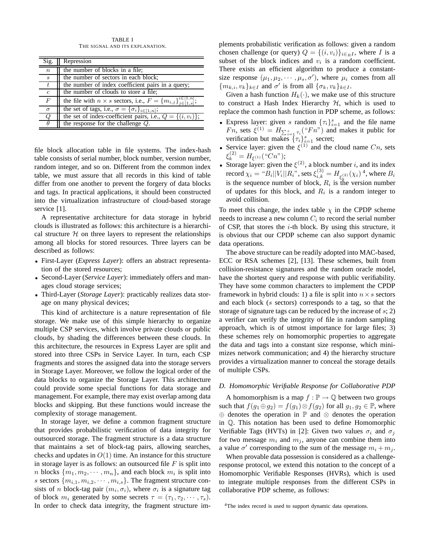TABLE I THE SIGNAL AND ITS EXPLANATION.

| Sig.             | Repression                                                                                |
|------------------|-------------------------------------------------------------------------------------------|
| $\boldsymbol{n}$ | the number of blocks in a file;                                                           |
| S                | the number of sectors in each block;                                                      |
|                  | the number of index coefficient pairs in a query;                                         |
| $\mathfrak{c}$   | the number of clouds to store a file;                                                     |
| $\boldsymbol{F}$ | the file with $n \times s$ sectors, i.e., $F = \{m_{i,j}\}_{j \in [1,s]}^{i \in [1,n]}$ ; |
| $\sigma$         | the set of tags, i.e., $\sigma = {\sigma_i}_{i \in [1, n]};$                              |
|                  | the set of index-coefficient pairs, i.e., $Q = \{(i, v_i)\};$                             |
| H                | the response for the challenge $Q$ .                                                      |

file block allocation table in file systems. The index-hash table consists of serial number, block number, version number, random integer, and so on. Different from the common index table, we must assure that all records in this kind of table differ from one another to prevent the forgery of data blocks and tags. In practical applications, it should been constructed into the virtualization infrastructure of cloud-based storage service [1].

A representative architecture for data storage in hybrid clouds is illustrated as follows: this architecture is a hierarchical structure  $H$  on three layers to represent the relationships among all blocks for stored resources. Three layers can be described as follows:

- First-Layer (*Express Layer*): offers an abstract representation of the stored resources;
- Second-Layer (*Service Layer*): immediately offers and manages cloud storage services;
- Third-Layer (*Storage Layer*): practicably realizes data storage on many physical devices;

This kind of architecture is a nature representation of file storage. We make use of this simple hierarchy to organize multiple CSP services, which involve private clouds or public clouds, by shading the differences between these clouds. In this architecture, the resources in Express Layer are split and stored into three CSPs in Service Layer. In turn, each CSP fragments and stores the assigned data into the storage servers in Storage Layer. Moreover, we follow the logical order of the data blocks to organize the Storage Layer. This architecture could provide some special functions for data storage and management. For example, there may exist overlap among data blocks and skipping. But these functions would increase the complexity of storage management.

In storage layer, we define a common fragment structure that provides probabilistic verification of data integrity for outsourced storage. The fragment structure is a data structure that maintains a set of block-tag pairs, allowing searches, checks and updates in  $O(1)$  time. An instance for this structure in storage layer is as follows: an outsourced file  $F$  is split into *n* blocks  $\{m_1, m_2, \cdots, m_n\}$ , and each block  $m_i$  is split into s sectors  $\{m_{i,1}, m_{i,2}, \cdots, m_{i,s}\}$ . The fragment structure consists of *n* block-tag pair  $(m_i, \sigma_i)$ , where  $\sigma_i$  is a signature tag of block  $m_i$  generated by some secrets  $\tau = (\tau_1, \tau_2, \cdots, \tau_s)$ . In order to check data integrity, the fragment structure im-

plements probabilistic verification as follows: given a random chosen challenge (or query)  $Q = \{(i, v_i)\}_{i \in_R I}$ , where I is a subset of the block indices and  $v_i$  is a random coefficient. There exists an efficient algorithm to produce a constantsize response  $(\mu_1, \mu_2, \cdots, \mu_s, \sigma')$ , where  $\mu_i$  comes from all  ${m_{k,i}, v_k}_{k \in I}$  and  $\sigma'$  is from all  ${\sigma_k, v_k}_{k \in I}$ .

Given a hash function  $H_k(\cdot)$ , we make use of this structure to construct a Hash Index Hierarchy  $H$ , which is used to replace the common hash function in PDP scheme, as follows:

- Express layer: given s random  $\{\tau_i\}_{i=1}^s$  and the file name  $Fn$ , sets  $\xi^{(1)} = H_{\sum_{i=1}^{s} \tau_i}(T^n n)$  and makes it public for verification but makes  $\{\tau_i\}_{i=1}^s$  secret;
- Service layer: given the  $\xi^{(1)}$  and the cloud name  $C_n$ , sets  $\xi_k^{(2)} = H_{\xi^{(1)}}({}``Cn");$
- Storage layer: given the  $\xi^{(2)}$ , a block number i, and its index record  $\chi_i = "B_i||V_i||R_i",$  sets  $\xi_{i,k}^{(3)} = H_{\xi_k^{(2)}}(\chi_i)^4$ , where  $B_i$ is the sequence number of block,  $R_i$  is the version number of updates for this block, and  $R_i$  is a random integer to avoid collision.

To meet this change, the index table  $\chi$  in the CPDP scheme needs to increase a new column  $C_i$  to record the serial number of CSP, that stores the  $i$ -th block. By using this structure, it is obvious that our CPDP scheme can also support dynamic data operations.

The above structure can be readily adopted into MAC-based, ECC or RSA schemes [2], [13]. These schemes, built from collision-resistance signatures and the random oracle model, have the shortest query and response with public verifiability. They have some common characters to implement the CPDP framework in hybrid clouds: 1) a file is split into  $n \times s$  sectors and each block (s sectors) corresponds to a tag, so that the storage of signature tags can be reduced by the increase of s; 2) a verifier can verify the integrity of file in random sampling approach, which is of utmost importance for large files; 3) these schemes rely on homomorphic properties to aggregate the data and tags into a constant size response, which minimizes network communication; and 4) the hierarchy structure provides a virtualization manner to conceal the storage details of multiple CSPs.

## *D. Homomorphic Verifiable Response for Collaborative PDP*

A homomorphism is a map  $f : \mathbb{P} \to \mathbb{Q}$  between two groups such that  $f(g_1 \oplus g_2) = f(g_1) \otimes f(g_2)$  for all  $g_1, g_2 \in \mathbb{P}$ , where ⊕ denotes the operation in P and ⊗ denotes the operation in Q. This notation has been used to define Homomorphic Verifiable Tags (HVTs) in [2]: Given two values  $\sigma_i$  and  $\sigma_j$ for two message  $m_i$  and  $m_j$ , anyone can combine them into a value  $\sigma'$  corresponding to the sum of the message  $m_i + m_j$ .

When provable data possession is considered as a challengeresponse protocol, we extend this notation to the concept of a Homomorphic Verifiable Responses (HVRs), which is used to integrate multiple responses from the different CSPs in collaborative PDP scheme, as follows:

<sup>&</sup>lt;sup>4</sup>The index record is used to support dynamic data operations.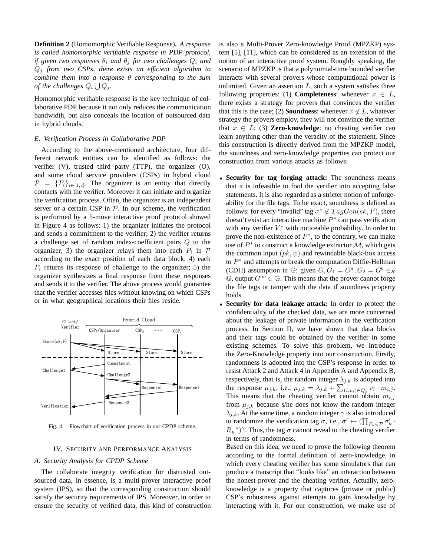**Definition 2** (Homomorphic Verifiable Response)**.** *A response is called homomorphic verifiable response in PDP protocol, if given two responses*  $\theta_i$  *and*  $\theta_j$  *for two challenges*  $Q_i$  *and* Q<sup>j</sup> *from two CSPs, there exists an efficient algorithm to combine them into a response* θ *corresponding to the sum of the challenges*  $Q_i \bigcup Q_j$ .

Homomorphic verifiable response is the key technique of collaborative PDP because it not only reduces the communication bandwidth, but also conceals the location of outsourced data in hybrid clouds.

## *E. Verification Process in Collaborative PDP*

According to the above-mentioned architecture, four different network entities can be identified as follows: the verifier (V), trusted third party (TTP), the organizer (O), and some cloud service providers (CSPs) in hybrid cloud  $\mathcal{P} = \{P_i\}_{i \in [1,c]}$ . The organizer is an entity that directly contacts with the verifier. Moreover it can initiate and organize the verification process. Often, the organizer is an independent server or a certain CSP in  $P$ . In our scheme, the verification is performed by a 5-move interactive proof protocol showed in Figure 4 as follows: 1) the organizer initiates the protocol and sends a commitment to the verifier; 2) the verifier returns a challenge set of random index-coefficient pairs Q to the organizer; 3) the organizer relays them into each  $P_i$  in  $P$ according to the exact position of each data block; 4) each  $P_i$  returns its response of challenge to the organizer; 5) the organizer synthesizes a final response from these responses and sends it to the verifier. The above process would guarantee that the verifier accesses files without knowing on which CSPs or in what geographical locations their files reside.



Fig. 4. Flowchart of verification process in our CPDP scheme.

#### IV. SECURITY AND PERFORMANCE ANALYSIS

#### *A. Security Analysis for CPDP Scheme*

The collaborate integrity verification for distrusted outsourced data, in essence, is a multi-prover interactive proof system (IPS), so that the corresponding construction should satisfy the security requirements of IPS. Moreover, in order to ensure the security of verified data, this kind of construction

is also a Multi-Prover Zero-knowledge Proof (MPZKP) system [5], [11], which can be considered as an extension of the notion of an interactive proof system. Roughly speaking, the scenario of MPZKP is that a polynomial-time bounded verifier interacts with several provers whose computational power is unlimited. Given an assertion  $L$ , such a system satisfies three following properties: (1) **Completeness**: whenever  $x \in L$ , there exists a strategy for provers that convinces the verifier that this is the case; (2) **Soundness**: whenever  $x \notin L$ , whatever strategy the provers employ, they will not convince the verifier that  $x \in L$ ; (3) **Zero-knowledge**: no cheating verifier can learn anything other than the veracity of the statement. Since this construction is directly derived from the MPZKP model, the soundness and zero-knowledge properties can protect our construction from various attacks as follows:

- **Security for tag forging attack:** The soundness means that it is infeasible to fool the verifier into accepting false statements. It is also regarded as a stricter notion of unforgeability for the file tags. To be exact, soundness is defined as follows: for every "invalid" tag  $\sigma^* \notin TagGen(sk, F)$ , there doesn't exist an interactive machine  $P^*$  can pass verification with any verifier  $V^*$  with noticeable probability. In order to prove the non-existence of  $P^*$ , to the contrary, we can make use of  $P^*$  to construct a knowledge extractor  $\mathcal M$ , which gets the common input  $(pk, \psi)$  and rewindable black-box access to  $P^*$  and attempts to break the computation Diffie-Hellman (CDH) assumption in  $\mathbb{G}$ : given  $G, G_1 = G^a, G_2 = G^b \in_R$  $\mathbb{G}$ , output  $G^{ab} \in \mathbb{G}$ . This means that the prover cannot forge the file tags or tamper with the data if soundness property holds.
- **Security for data leakage attack:** In order to protect the confidentiality of the checked data, we are more concerned about the leakage of private information in the verification process. In Section II, we have shown that data blocks and their tags could be obtained by the verifier in some existing schemes. To solve this problem, we introduce the Zero-Knowledge property into our construction. Firstly, randomness is adopted into the CSP's response in order to resist Attack 2 and Attack 4 in Appendix A and Appendix B, respectively, that is, the random integer  $\lambda_{j,k}$  is adopted into the response  $\mu_{j,k}$ , i.e.,  $\mu_{j,k} = \lambda_{j,k} + \sum_{(i,v_i)\in Q_k} v_i \cdot m_{i,j}$ . This means that the cheating verifier cannot obtain  $m_{i,j}$ from  $\mu_{j,k}$  because s/he does not know the random integer  $\lambda_{j,k}$ . At the same time, a random integer  $\gamma$  is also introduced to randomize the verification tag  $\sigma$ , i.e.,  $\sigma' \leftarrow (\prod_{P_k \in \mathcal{P}} \sigma'_k \cdot \sigma'_k)$  $R_k^{-s}$ )<sup> $\gamma$ </sup>. Thus, the tag  $\sigma$  cannot reveal to the cheating verifier in terms of randomness.

Based on this idea, we need to prove the following theorem according to the formal definition of zero-knowledge, in which every cheating verifier has some simulators that can produce a transcript that "looks like" an interaction between the honest prover and the cheating verifier. Actually, zeroknowledge is a property that captures (private or public) CSP's robustness against attempts to gain knowledge by interacting with it. For our construction, we make use of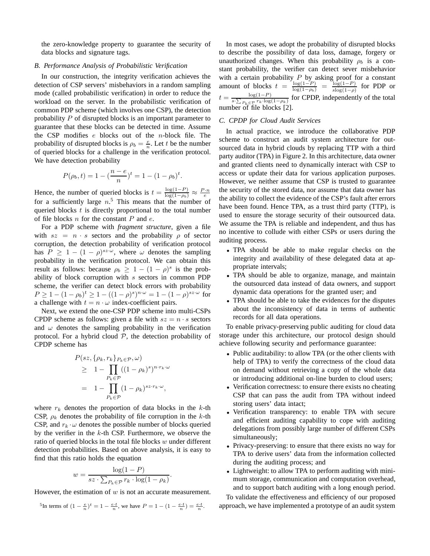the zero-knowledge property to guarantee the security of data blocks and signature tags.

## *B. Performance Analysis of Probabilistic Verification*

In our construction, the integrity verification achieves the detection of CSP servers' misbehaviors in a random sampling mode (called probabilistic verification) in order to reduce the workload on the server. In the probabilistic verification of common PDP scheme (which involves one CSP), the detection probability P of disrupted blocks is an important parameter to guarantee that these blocks can be detected in time. Assume the CSP modifies  $e$  blocks out of the *n*-block file. The probability of disrupted blocks is  $\rho_b = \frac{e}{n}$ . Let t be the number of queried blocks for a challenge in the verification protocol. We have detection probability

$$
P(\rho_b, t) = 1 - \left(\frac{n - e}{n}\right)^t = 1 - (1 - \rho_b)^t.
$$

Hence, the number of queried blocks is  $t = \frac{\log(1-P)}{\log(1-\rho_b)} \approx \frac{P \cdot n}{e}$  for a sufficiently large n.<sup>5</sup> This means that the number of queried blocks  $t$  is directly proportional to the total number of file blocks  $n$  for the constant  $P$  and  $e$ .

For a PDP scheme with *fragment structure*, given a file with  $sz = n \cdot s$  sectors and the probability  $\rho$  of sector corruption, the detection probability of verification protocol has  $P \ge 1 - (1 - \rho)^{sz \cdot \omega}$ , where  $\omega$  denotes the sampling probability in the verification protocol. We can obtain this result as follows: because  $\rho_b \geq 1 - (1 - \rho)^s$  is the probability of block corruption with  $s$  sectors in common PDP scheme, the verifier can detect block errors with probability  $P \ge 1 - (1 - \rho_b)^t \ge 1 - ((1 - \rho)^s)^{n \cdot \omega} = 1 - (1 - \rho)^{sz \cdot \omega}$  for a challenge with  $t = n \cdot \omega$  index-coefficient pairs.

Next, we extend the one-CSP PDP scheme into multi-CSPs CPDP scheme as follows: given a file with  $sz = n \cdot s$  sectors and  $\omega$  denotes the sampling probability in the verification protocol. For a hybrid cloud  $P$ , the detection probability of CPDP scheme has

$$
P(sz, \{\rho_k, r_k\}_{P_k \in \mathcal{P}}, \omega)
$$
  
\n
$$
\geq 1 - \prod_{P_k \in \mathcal{P}} ((1 - \rho_k)^s)^{n \cdot r_k \cdot \omega}
$$
  
\n
$$
= 1 - \prod_{P_k \in \mathcal{P}} (1 - \rho_k)^{sz \cdot r_k \cdot \omega},
$$

where  $r_k$  denotes the proportion of data blocks in the k-th CSP,  $\rho_k$  denotes the probability of file corruption in the k-th CSP, and  $r_k \cdot \omega$  denotes the possible number of blocks queried by the verifier in the  $k$ -th CSP. Furthermore, we observe the ratio of queried blocks in the total file blocks w under different detection probabilities. Based on above analysis, it is easy to find that this ratio holds the equation

$$
w = \frac{\log(1 - P)}{sz \cdot \sum_{P_k \in \mathcal{P}} r_k \cdot \log(1 - \rho_k)}.
$$

However, the estimation of  $w$  is not an accurate measurement.

$$
{}^{5}\text{In terms of } (1 - \frac{e}{n})^t = 1 - \frac{e \cdot t}{n}, \text{ we have } P = 1 - (1 - \frac{e \cdot t}{n}) = \frac{e \cdot t}{n}.
$$

In most cases, we adopt the probability of disrupted blocks to describe the possibility of data loss, damage, forgery or unauthorized changes. When this probability  $\rho_b$  is a constant probability, the verifier can detect sever misbehavior with a certain probability  $P$  by asking proof for a constant amount of blocks  $t = \frac{\log(1-P)}{\log(1-\rho_b)} = \frac{\log(1-P)}{\log(1-\rho_b)}$  $\frac{\log(1-P)}{\log(1-\rho)}$  for PDP or  $t = \frac{\log(1-P)}{s\sqrt{1-\frac{P}{\log(1-P)}}}$  $\frac{\log(1-P)}{P_k \in \mathcal{P}}$   $\frac{\log(1-\rho_k)}{P_k \in \mathcal{P}}$  for CPDP, independently of the total number of file blocks [2].

# *C. CPDP for Cloud Audit Services*

In actual practice, we introduce the collaborative PDP scheme to construct an audit system architecture for outsourced data in hybrid clouds by replacing TTP with a third party auditor (TPA) in Figure 2. In this architecture, data owner and granted clients need to dynamically interact with CSP to access or update their data for various application purposes. However, we neither assume that CSP is trusted to guarantee the security of the stored data, nor assume that data owner has the ability to collect the evidence of the CSP's fault after errors have been found. Hence TPA, as a trust third party (TTP), is used to ensure the storage security of their outsourced data. We assume the TPA is reliable and independent, and thus has no incentive to collude with either CSPs or users during the auditing process.

- TPA should be able to make regular checks on the integrity and availability of these delegated data at appropriate intervals;
- TPA should be able to organize, manage, and maintain the outsourced data instead of data owners, and support dynamic data operations for the granted user; and
- TPA should be able to take the evidences for the disputes about the inconsistency of data in terms of authentic records for all data operations.

To enable privacy-preserving public auditing for cloud data storage under this architecture, our protocol design should achieve following security and performance guarantee:

- Public auditability: to allow TPA (or the other clients with help of TPA) to verify the correctness of the cloud data on demand without retrieving a copy of the whole data or introducing additional on-line burden to cloud users;
- Verification correctness: to ensure there exists no cheating CSP that can pass the audit from TPA without indeed storing users' data intact;
- Verification transparency: to enable TPA with secure and efficient auditing capability to cope with auditing delegations from possibly large number of different CSPs simultaneously;
- Privacy-preserving: to ensure that there exists no way for TPA to derive users' data from the information collected during the auditing process; and
- Lightweight: to allow TPA to perform auditing with minimum storage, communication and computation overhead, and to support batch auditing with a long enough period.

To validate the effectiveness and efficiency of our proposed approach, we have implemented a prototype of an audit system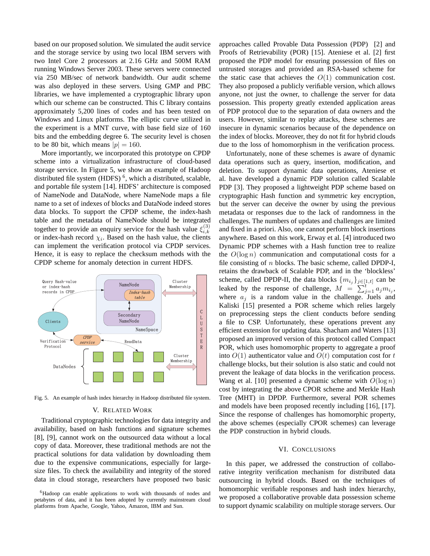based on our proposed solution. We simulated the audit service and the storage service by using two local IBM servers with two Intel Core 2 processors at 2.16 GHz and 500M RAM running Windows Server 2003. These servers were connected via 250 MB/sec of network bandwidth. Our audit scheme was also deployed in these servers. Using GMP and PBC libraries, we have implemented a cryptographic library upon which our scheme can be constructed. This C library contains approximately 5,200 lines of codes and has been tested on Windows and Linux platforms. The elliptic curve utilized in the experiment is a MNT curve, with base field size of 160 bits and the embedding degree 6. The security level is chosen to be 80 bit, which means  $|p| = 160$ .

More importantly, we incorporated this prototype on CPDP scheme into a virtualization infrastructure of cloud-based storage service. In Figure 5, we show an example of Hadoop distributed file system (HDFS)<sup>6</sup>, which a distributed, scalable, and portable file system [14]. HDFS' architecture is composed of NameNode and DataNode, where NameNode maps a file name to a set of indexes of blocks and DataNode indeed stores data blocks. To support the CPDP scheme, the index-hash table and the metadata of NameNode should be integrated together to provide an enquiry service for the hash value  $\xi_{i,k}^{(3)}$  $_{i,k}$ or index-hash record  $\chi_i$ . Based on the hash value, the clients can implement the verification protocol via CPDP services. Hence, it is easy to replace the checksum methods with the CPDP scheme for anomaly detection in current HDFS.



Fig. 5. An example of hash index hierarchy in Hadoop distributed file system.

## V. RELATED WORK

Traditional cryptographic technologies for data integrity and availability, based on hash functions and signature schemes [8], [9], cannot work on the outsourced data without a local copy of data. Moreover, these traditional methods are not the practical solutions for data validation by downloading them due to the expensive communications, especially for largesize files. To check the availability and integrity of the stored data in cloud storage, researchers have proposed two basic approaches called Provable Data Possession (PDP) [2] and Proofs of Retrievability (POR) [15]. Ateniese et al. [2] first proposed the PDP model for ensuring possession of files on untrusted storages and provided an RSA-based scheme for the static case that achieves the  $O(1)$  communication cost. They also proposed a publicly verifiable version, which allows anyone, not just the owner, to challenge the server for data possession. This property greatly extended application areas of PDP protocol due to the separation of data owners and the users. However, similar to replay attacks, these schemes are insecure in dynamic scenarios because of the dependence on the index of blocks. Moreover, they do not fit for hybrid clouds due to the loss of homomorphism in the verification process.

Unfortunately, none of these schemes is aware of dynamic data operations such as query, insertion, modification, and deletion. To support dynamic data operations, Ateniese et al. have developed a dynamic PDP solution called Scalable PDP [3]. They proposed a lightweight PDP scheme based on cryptographic Hash function and symmetric key encryption, but the server can deceive the owner by using the previous metadata or responses due to the lack of randomness in the challenges. The numbers of updates and challenges are limited and fixed in a priori. Also, one cannot perform block insertions anywhere. Based on this work, Erway et al. [4] introduced two Dynamic PDP schemes with a Hash function tree to realize the  $O(\log n)$  communication and computational costs for a file consisting of  $n$  blocks. The basic scheme, called DPDP-I, retains the drawback of Scalable PDP, and in the 'blockless' scheme, called DPDP-II, the data blocks  $\{m_{i_j}\}_{j\in[1,t]}$  can be leaked by the response of challenge,  $M = \sum_{j=1}^{N} a_j m_{i_j}$ , where  $a_i$  is a random value in the challenge. Juels and Kaliski [15] presented a POR scheme which relies largely on preprocessing steps the client conducts before sending a file to CSP. Unfortunately, these operations prevent any efficient extension for updating data. Shacham and Waters [13] proposed an improved version of this protocol called Compact POR, which uses homomorphic property to aggregate a proof into  $O(1)$  authenticator value and  $O(t)$  computation cost for t challenge blocks, but their solution is also static and could not prevent the leakage of data blocks in the verification process. Wang et al. [10] presented a dynamic scheme with  $O(\log n)$ cost by integrating the above CPOR scheme and Merkle Hash Tree (MHT) in DPDP. Furthermore, several POR schemes and models have been proposed recently including [16], [17]. Since the response of challenges has homomorphic property, the above schemes (especially CPOR schemes) can leverage the PDP construction in hybrid clouds.

#### VI. CONCLUSIONS

In this paper, we addressed the construction of collaborative integrity verification mechanism for distributed data outsourcing in hybrid clouds. Based on the techniques of homomorphic verifiable responses and hash index hierarchy, we proposed a collaborative provable data possession scheme to support dynamic scalability on multiple storage servers. Our

<sup>&</sup>lt;sup>6</sup>Hadoop can enable applications to work with thousands of nodes and petabytes of data, and it has been adopted by currently mainstream cloud platforms from Apache, Google, Yahoo, Amazon, IBM and Sun.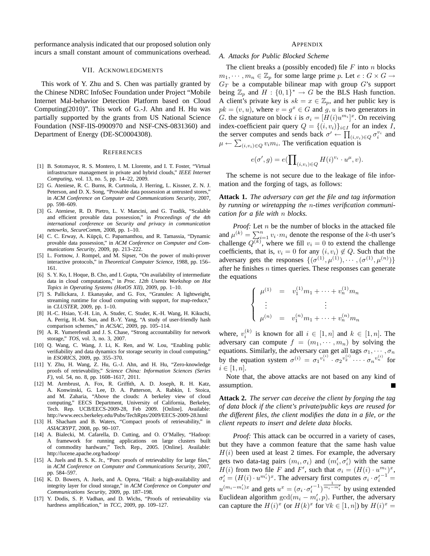performance analysis indicated that our proposed solution only incurs a small constant amount of communications overhead.

#### VII. ACKNOWLEDGMENTS

This work of Y. Zhu and S. Chen was partially granted by the Chinese NDRC InfoSec Foundation under Project "Mobile Internet Mal-behavior Detection Platform based on Cloud Computing(2010)". This work of G.-J. Ahn and H. Hu was partially supported by the grants from US National Science Foundation (NSF-IIS-0900970 and NSF-CNS-0831360) and Department of Energy (DE-SC0004308).

#### **REFERENCES**

- [1] B. Sotomayor, R. S. Montero, I. M. Llorente, and I. T. Foster, "Virtual infrastructure management in private and hybrid clouds," *IEEE Internet Computing*, vol. 13, no. 5, pp. 14–22, 2009.
- [2] G. Ateniese, R. C. Burns, R. Curtmola, J. Herring, L. Kissner, Z. N. J. Peterson, and D. X. Song, "Provable data possession at untrusted stores," in *ACM Conference on Computer and Communications Security*, 2007, pp. 598–609.
- [3] G. Ateniese, R. D. Pietro, L. V. Mancini, and G. Tsudik, "Scalable and efficient provable data possession," in *Proceedings of the 4th international conference on Security and privacy in communication netowrks, SecureComm*, 2008, pp. 1–10.
- [4] C. C. Erway, A. Küpçü, C. Papamanthou, and R. Tamassia, "Dynamic provable data possession," in *ACM Conference on Computer and Communications Security*, 2009, pp. 213–222.
- [5] L. Fortnow, J. Rompel, and M. Sipser, "On the power of multi-prover interactive protocols," in *Theoretical Computer Science*, 1988, pp. 156– 161.
- [6] S. Y. Ko, I. Hoque, B. Cho, and I. Gupta, "On availability of intermediate data in cloud computations," in *Proc. 12th Usenix Workshop on Hot Topics in Operating Systems (HotOS XII)*, 2009, pp. 1–10.
- [7] S. Pallickara, J. Ekanayake, and G. Fox, "Granules: A lightweight, streaming runtime for cloud computing with support, for map-reduce," in *CLUSTER*, 2009, pp. 1–10.
- [8] H.-C. Hsiao, Y.-H. Lin, A. Studer, C. Studer, K.-H. Wang, H. Kikuchi, A. Perrig, H.-M. Sun, and B.-Y. Yang, "A study of user-friendly hash comparison schemes," in *ACSAC*, 2009, pp. 105–114.
- [9] A. R. Yumerefendi and J. S. Chase, "Strong accountability for network storage," *TOS*, vol. 3, no. 3, 2007.
- [10] Q. Wang, C. Wang, J. Li, K. Ren, and W. Lou, "Enabling public verifiability and data dynamics for storage security in cloud computing," in *ESORICS*, 2009, pp. 355–370.
- [11] Y. Zhu, H. Wang, Z. Hu, G.-J. Ahn, and H. Hu, "Zero-knowledge proofs of retrievability," *Science China: Information Sciences (Series F)*, vol. 54, no. 8, pp. 1608–1617, 2011.
- [12] M. Armbrust, A. Fox, R. Griffith, A. D. Joseph, R. H. Katz, A. Konwinski, G. Lee, D. A. Patterson, A. Rabkin, I. Stoica, and M. Zaharia, "Above the clouds: A berkeley view of cloud computing," EECS Department, University of California, Berkeley, Tech. Rep. UCB/EECS-2009-28, Feb 2009. [Online]. Available: http://www.eecs.berkeley.edu/Pubs/TechRpts/2009/EECS-2009-28.html
- [13] H. Shacham and B. Waters, "Compact proofs of retrievability," in *ASIACRYPT*, 2008, pp. 90–107.
- [14] A. Bialecki, M. Cafarella, D. Cutting, and O. O'Malley, "Hadoop: A framework for running applications on large clusters built of commodity hardware," Tech. Rep., 2005. [Online]. Available: http://lucene.apache.org/hadoop/
- [15] A. Juels and B. S. K. Jr., "Pors: proofs of retrievability for large files," in *ACM Conference on Computer and Communications Security*, 2007, pp. 584–597.
- [16] K. D. Bowers, A. Juels, and A. Oprea, "Hail: a high-availability and integrity layer for cloud storage," in *ACM Conference on Computer and Communications Security*, 2009, pp. 187–198.
- [17] Y. Dodis, S. P. Vadhan, and D. Wichs, "Proofs of retrievability via hardness amplification," in *TCC*, 2009, pp. 109–127.

## APPENDIX

#### *A. Attacks for Public Blocked Scheme*

The client breaks a (possibly encoded) file  $F$  into  $n$  blocks  $m_1, \dots, m_n \in \mathbb{Z}_p$  for some large prime p. Let  $e : G \times G \rightarrow$  $G_T$  be a computable bilinear map with group  $G$ 's support being  $\mathbb{Z}_p$  and  $H : \{0,1\}^* \to G$  be the BLS Hash function. A client's private key is  $sk = x \in \mathbb{Z}_p$ , and her public key is  $pk = (v, u)$ , where  $v = g^x \in G$  and  $g, u$  is two generators in G. the signature on block i is  $\sigma_i = [H(i)u^{m_i}]^x$ . On receiving index-coefficient pair query  $Q = \{(i, v_i)\}_{i \in I}$  for an index I, the server computes and sends back  $\sigma' \leftarrow \prod_{(i,v_i)\in Q} \sigma_i^{v_i}$  and  $\mu \leftarrow \sum_{(i,v_i)\in Q} v_i m_i$ . The verification equation is

$$
e(\sigma', g) = e(\prod_{(i,v_i)\in Q} H(i)^{v_i} \cdot u^{\mu}, v).
$$

The scheme is not secure due to the leakage of file information and the forging of tags, as follows:

**Attack 1.** *The adversary can get the file and tag information by running or wiretapping the* n*-times verification communication for a file with* n *blocks.*

*Proof:* Let *n* be the number of blocks in the attacked file and  $\mu^{(k)} = \sum_{i=1}^{n} v_i \cdot m_i$  denote the response of the k-th user's challenge  $Q^{(k)}$ , where we fill  $v_i = 0$  to extend the challenge coefficients, that is,  $v_i = 0$  for any  $(i, v_i) \notin Q$ . Such that the adversary gets the responses  $\{(\sigma^{(1)}, \mu^{(1)}), \cdots, (\sigma^{(1)}, \mu^{(n)})\}$ after he finishes  $n$  times queries. These responses can generate the equations

$$
\begin{cases}\n\mu^{(1)} = v_1^{(1)}m_1 + \dots + v_n^{(1)}m_n \\
\vdots & \vdots \\
\mu^{(n)} = v_1^{(n)}m_1 + \dots + v_n^{(n)}m_n\n\end{cases}
$$

where,  $v_i^{(k)}$  is known for all  $i \in [1, n]$  and  $k \in [1, n]$ . The adversary can compute  $f = (m_1, \dots, m_n)$  by solving the equations. Similarly, the adversary can get all tags  $\sigma_1, \cdots, \sigma_n$ by the equation system  $\sigma^{(i)} = \sigma_1^{v_1^{(i)}} \cdot \sigma_2^{v_2^{(i)}} \cdots \sigma_n^{v_n^{(i)}}$  for  $i \in [1, n]$ .

Note that, the above attacks are not based on any kind of assumption.

**Attack 2.** *The server can deceive the client by forging the tag of data block if the client's private/public keys are reused for the different files, the client modifies the data in a file, or the client repeats to insert and delete data blocks.*

*Proof:* This attack can be occurred in a variety of cases, but they have a common feature that the same hash value  $H(i)$  been used at least 2 times. For example, the adversary gets two data-tag pairs  $(m_i, \sigma_i)$  and  $(m'_i, \sigma'_i)$  with the same  $H(i)$  from two file F and F', such that  $\sigma_i = (H(i) \cdot u^{m_i})^x$ ,  $\sigma'_i = (H(i) \cdot u^{m'_i})^x$ . The adversary first computes  $\sigma'_i \cdot {\sigma'_i}^{-1} =$  $u^{(m_i-m'_i)x}$  and gets  $u^x = (\sigma_i \cdot {\sigma'_i}^{-1})^{\frac{1}{m_i-m'_i}}$  by using extended Euclidean algorithm  $gcd(m_i - m'_i, p)$ . Further, the adversary can capture the  $H(i)^x$  (or  $H(k)^x$  for  $\forall k \in [1, n]$ ) by  $H(i)^x =$